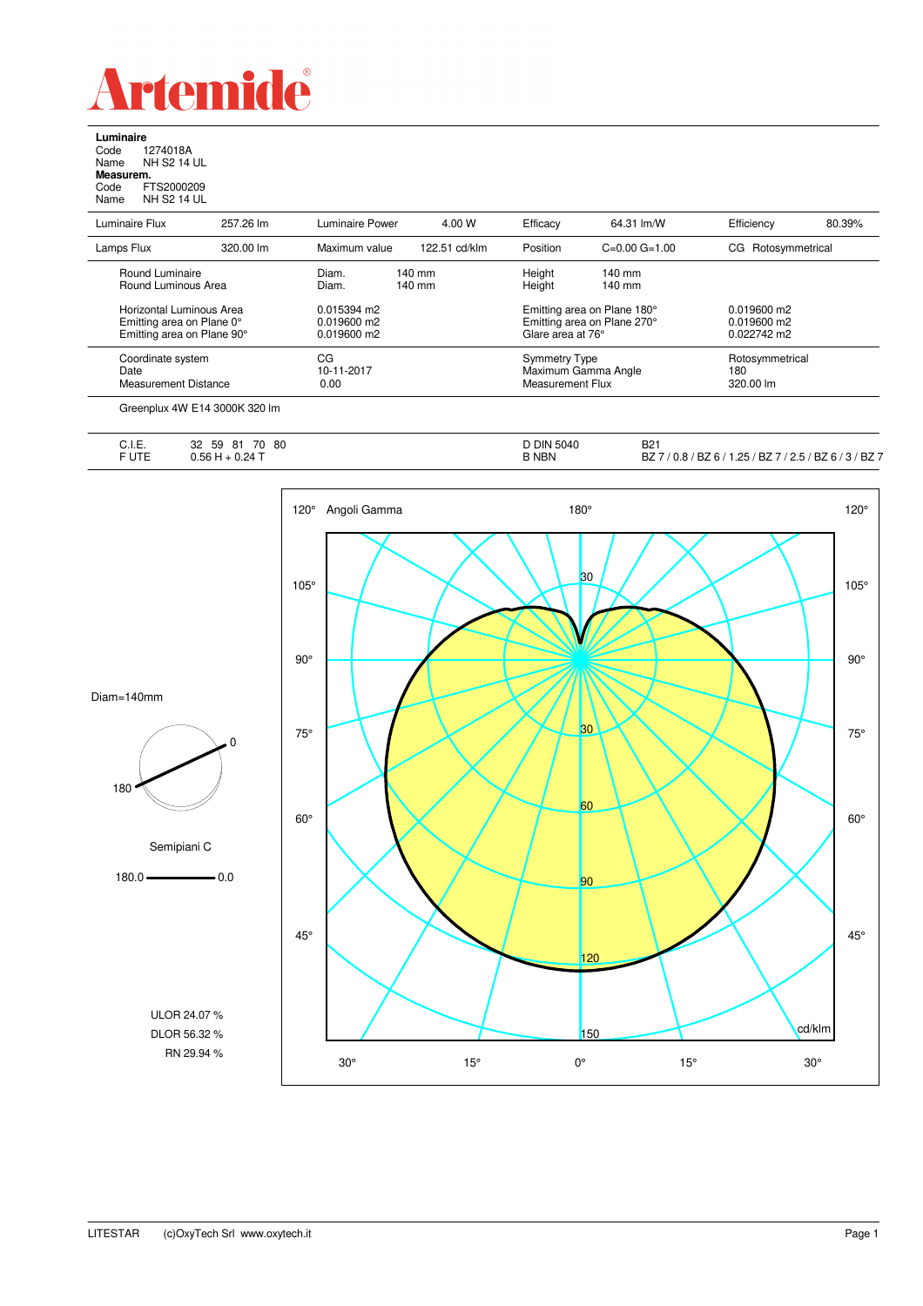

**Luminaire**<br>Code 1<br>Name N re<br>1274018A<br>NH S2 14 UL Name NH S2 14 UL **Measurem.** Code FTS2000209 Name NH S2 14 UL

| Luminaire Flux                                                                      | 257.26 lm | <b>Luminaire Power</b>                      | 4.00 W                     | Efficacy                                                                        | 64.31 lm/W                   | Efficiency                                    | 80.39% |
|-------------------------------------------------------------------------------------|-----------|---------------------------------------------|----------------------------|---------------------------------------------------------------------------------|------------------------------|-----------------------------------------------|--------|
| Lamps Flux                                                                          | 320.00 lm | Maximum value                               | 122.51 cd/klm              | Position                                                                        | $C=0.00$ $G=1.00$            | CG Rotosymmetrical                            |        |
| Round Luminaire<br>Round Luminous Area                                              |           | Diam.<br>Diam.                              | $140 \text{ mm}$<br>140 mm | Height<br>Height                                                                | $140$ mm<br>$140 \text{ mm}$ |                                               |        |
| Horizontal Luminous Area<br>Emitting area on Plane 0°<br>Emitting area on Plane 90° |           | 0.015394 m2<br>$0.019600$ m2<br>0.019600 m2 |                            | Emitting area on Plane 180°<br>Emitting area on Plane 270°<br>Glare area at 76° |                              | $0.019600$ m2<br>$0.019600$ m2<br>0.022742 m2 |        |
| Coordinate system<br>Date<br>Measurement Distance                                   |           | СG<br>10-11-2017<br>0.00                    |                            | <b>Symmetry Type</b><br>Maximum Gamma Angle<br>Measurement Flux                 |                              | Rotosymmetrical<br>180<br>320.00 lm           |        |

|                | 32<br>$\overline{\phantom{a}}$<br>80<br>$\sim$<br>81<br>70<br>59        | <b>DIN</b><br>l 5040 | <b>B21</b>                                                                                      |
|----------------|-------------------------------------------------------------------------|----------------------|-------------------------------------------------------------------------------------------------|
| ∪.i.⊏.<br>FUTE | 1 F.G<br>$\Omega$ .<br>$\sim$ $\sim$ $\sim$ $\sim$ $\sim$ $\sim$ $\sim$ | <b>B NBN</b>         | $/$ BZ $^-$<br>1つ ら<br>BZ.<br>BZ 67<br>52. ا<br>DΖ<br>U.O<br>$\cdot$<br><i></i><br>__<br>$\sim$ |